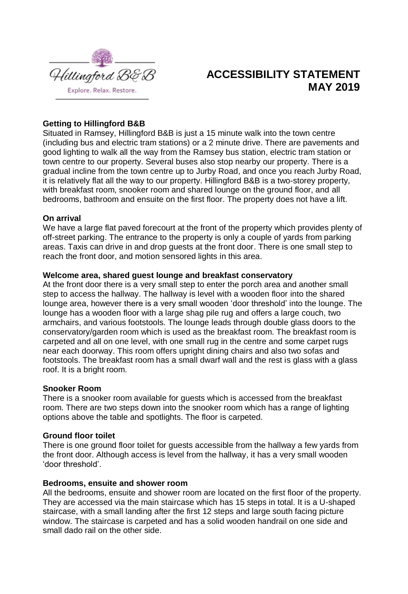

# **ACCESSIBILITY STATEMENT MAY 2019**

# **Getting to Hillingford B&B**

Situated in Ramsey, Hillingford B&B is just a 15 minute walk into the town centre (including bus and electric tram stations) or a 2 minute drive. There are pavements and good lighting to walk all the way from the Ramsey bus station, electric tram station or town centre to our property. Several buses also stop nearby our property. There is a gradual incline from the town centre up to Jurby Road, and once you reach Jurby Road, it is relatively flat all the way to our property. Hillingford B&B is a two-storey property, with breakfast room, snooker room and shared lounge on the ground floor, and all bedrooms, bathroom and ensuite on the first floor. The property does not have a lift.

## **On arrival**

We have a large flat paved forecourt at the front of the property which provides plenty of off-street parking. The entrance to the property is only a couple of yards from parking areas. Taxis can drive in and drop guests at the front door. There is one small step to reach the front door, and motion sensored lights in this area.

## **Welcome area, shared guest lounge and breakfast conservatory**

At the front door there is a very small step to enter the porch area and another small step to access the hallway. The hallway is level with a wooden floor into the shared lounge area, however there is a very small wooden 'door threshold' into the lounge. The lounge has a wooden floor with a large shag pile rug and offers a large couch, two armchairs, and various footstools. The lounge leads through double glass doors to the conservatory/garden room which is used as the breakfast room. The breakfast room is carpeted and all on one level, with one small rug in the centre and some carpet rugs near each doorway. This room offers upright dining chairs and also two sofas and footstools. The breakfast room has a small dwarf wall and the rest is glass with a glass roof. It is a bright room.

#### **Snooker Room**

There is a snooker room available for guests which is accessed from the breakfast room. There are two steps down into the snooker room which has a range of lighting options above the table and spotlights. The floor is carpeted.

## **Ground floor toilet**

There is one ground floor toilet for guests accessible from the hallway a few yards from the front door. Although access is level from the hallway, it has a very small wooden 'door threshold'.

#### **Bedrooms, ensuite and shower room**

All the bedrooms, ensuite and shower room are located on the first floor of the property. They are accessed via the main staircase which has 15 steps in total. It is a U-shaped staircase, with a small landing after the first 12 steps and large south facing picture window. The staircase is carpeted and has a solid wooden handrail on one side and small dado rail on the other side.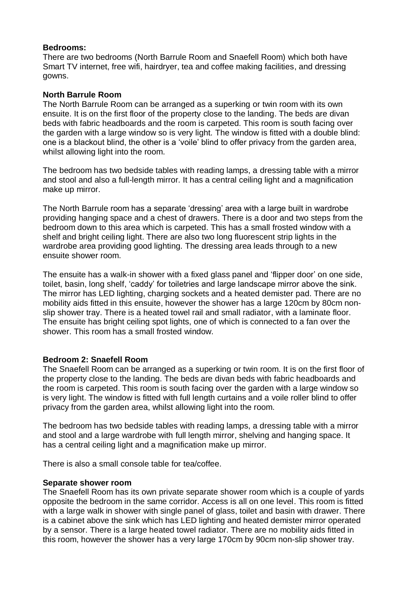## **Bedrooms:**

There are two bedrooms (North Barrule Room and Snaefell Room) which both have Smart TV internet, free wifi, hairdryer, tea and coffee making facilities, and dressing gowns.

## **North Barrule Room**

The North Barrule Room can be arranged as a superking or twin room with its own ensuite. It is on the first floor of the property close to the landing. The beds are divan beds with fabric headboards and the room is carpeted. This room is south facing over the garden with a large window so is very light. The window is fitted with a double blind: one is a blackout blind, the other is a 'voile' blind to offer privacy from the garden area, whilst allowing light into the room.

The bedroom has two bedside tables with reading lamps, a dressing table with a mirror and stool and also a full-length mirror. It has a central ceiling light and a magnification make up mirror.

The North Barrule room has a separate 'dressing' area with a large built in wardrobe providing hanging space and a chest of drawers. There is a door and two steps from the bedroom down to this area which is carpeted. This has a small frosted window with a shelf and bright ceiling light. There are also two long fluorescent strip lights in the wardrobe area providing good lighting. The dressing area leads through to a new ensuite shower room.

The ensuite has a walk-in shower with a fixed glass panel and 'flipper door' on one side, toilet, basin, long shelf, 'caddy' for toiletries and large landscape mirror above the sink. The mirror has LED lighting, charging sockets and a heated demister pad. There are no mobility aids fitted in this ensuite, however the shower has a large 120cm by 80cm nonslip shower tray. There is a heated towel rail and small radiator, with a laminate floor. The ensuite has bright ceiling spot lights, one of which is connected to a fan over the shower. This room has a small frosted window.

#### **Bedroom 2: Snaefell Room**

The Snaefell Room can be arranged as a superking or twin room. It is on the first floor of the property close to the landing. The beds are divan beds with fabric headboards and the room is carpeted. This room is south facing over the garden with a large window so is very light. The window is fitted with full length curtains and a voile roller blind to offer privacy from the garden area, whilst allowing light into the room.

The bedroom has two bedside tables with reading lamps, a dressing table with a mirror and stool and a large wardrobe with full length mirror, shelving and hanging space. It has a central ceiling light and a magnification make up mirror.

There is also a small console table for tea/coffee.

#### **Separate shower room**

The Snaefell Room has its own private separate shower room which is a couple of yards opposite the bedroom in the same corridor. Access is all on one level. This room is fitted with a large walk in shower with single panel of glass, toilet and basin with drawer. There is a cabinet above the sink which has LED lighting and heated demister mirror operated by a sensor. There is a large heated towel radiator. There are no mobility aids fitted in this room, however the shower has a very large 170cm by 90cm non-slip shower tray.